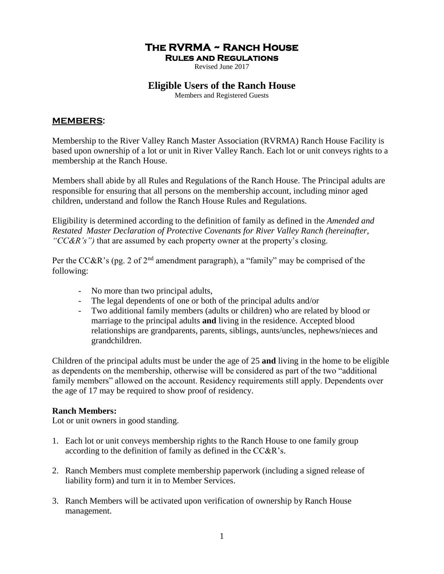# **The RVRMA ~ Ranch House**

**Rules and Regulations** 

Revised June 2017

# **Eligible Users of the Ranch House**

Members and Registered Guests

#### **MEMBERS:**

Membership to the River Valley Ranch Master Association (RVRMA) Ranch House Facility is based upon ownership of a lot or unit in River Valley Ranch. Each lot or unit conveys rights to a membership at the Ranch House.

Members shall abide by all Rules and Regulations of the Ranch House. The Principal adults are responsible for ensuring that all persons on the membership account, including minor aged children, understand and follow the Ranch House Rules and Regulations.

Eligibility is determined according to the definition of family as defined in the *Amended and Restated Master Declaration of Protective Covenants for River Valley Ranch (hereinafter, "CC&R's")* that are assumed by each property owner at the property's closing.

Per the CC&R's (pg. 2 of  $2<sup>nd</sup>$  amendment paragraph), a "family" may be comprised of the following:

- No more than two principal adults,
- The legal dependents of one or both of the principal adults and/or
- Two additional family members (adults or children) who are related by blood or marriage to the principal adults **and** living in the residence. Accepted blood relationships are grandparents, parents, siblings, aunts/uncles, nephews/nieces and grandchildren.

Children of the principal adults must be under the age of 25 **and** living in the home to be eligible as dependents on the membership, otherwise will be considered as part of the two "additional family members" allowed on the account. Residency requirements still apply. Dependents over the age of 17 may be required to show proof of residency.

## **Ranch Members:**

Lot or unit owners in good standing.

- 1. Each lot or unit conveys membership rights to the Ranch House to one family group according to the definition of family as defined in the CC&R's.
- 2. Ranch Members must complete membership paperwork (including a signed release of liability form) and turn it in to Member Services.
- 3. Ranch Members will be activated upon verification of ownership by Ranch House management.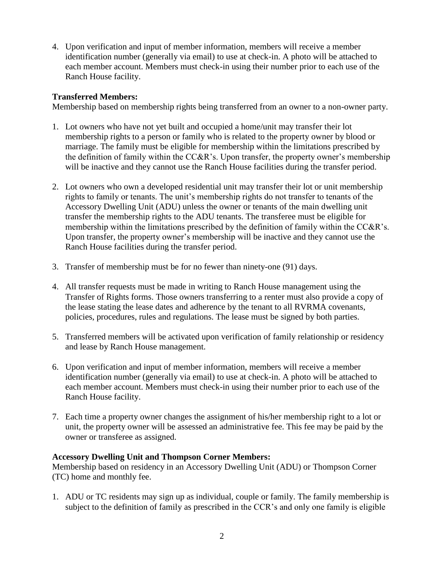4. Upon verification and input of member information, members will receive a member identification number (generally via email) to use at check-in. A photo will be attached to each member account. Members must check-in using their number prior to each use of the Ranch House facility.

### **Transferred Members:**

Membership based on membership rights being transferred from an owner to a non-owner party.

- 1. Lot owners who have not yet built and occupied a home/unit may transfer their lot membership rights to a person or family who is related to the property owner by blood or marriage. The family must be eligible for membership within the limitations prescribed by the definition of family within the CC&R's. Upon transfer, the property owner's membership will be inactive and they cannot use the Ranch House facilities during the transfer period.
- 2. Lot owners who own a developed residential unit may transfer their lot or unit membership rights to family or tenants. The unit's membership rights do not transfer to tenants of the Accessory Dwelling Unit (ADU) unless the owner or tenants of the main dwelling unit transfer the membership rights to the ADU tenants. The transferee must be eligible for membership within the limitations prescribed by the definition of family within the CC&R's. Upon transfer, the property owner's membership will be inactive and they cannot use the Ranch House facilities during the transfer period.
- 3. Transfer of membership must be for no fewer than ninety-one (91) days.
- 4. All transfer requests must be made in writing to Ranch House management using the Transfer of Rights forms. Those owners transferring to a renter must also provide a copy of the lease stating the lease dates and adherence by the tenant to all RVRMA covenants, policies, procedures, rules and regulations. The lease must be signed by both parties.
- 5. Transferred members will be activated upon verification of family relationship or residency and lease by Ranch House management.
- 6. Upon verification and input of member information, members will receive a member identification number (generally via email) to use at check-in. A photo will be attached to each member account. Members must check-in using their number prior to each use of the Ranch House facility.
- 7. Each time a property owner changes the assignment of his/her membership right to a lot or unit, the property owner will be assessed an administrative fee. This fee may be paid by the owner or transferee as assigned.

#### **Accessory Dwelling Unit and Thompson Corner Members:**

Membership based on residency in an Accessory Dwelling Unit (ADU) or Thompson Corner (TC) home and monthly fee.

1. ADU or TC residents may sign up as individual, couple or family. The family membership is subject to the definition of family as prescribed in the CCR's and only one family is eligible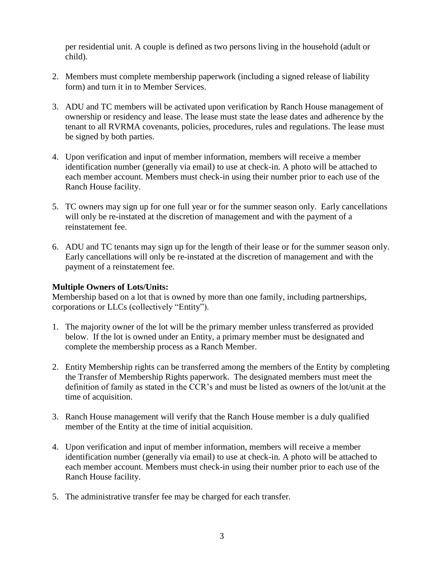per residential unit. A couple is defined as two persons living in the household (adult or child).

- 2. Members must complete membership paperwork (including a signed release of liability form) and turn it in to Member Services.
- 3. ADU and TC members will be activated upon verification by Ranch House management of ownership or residency and lease. The lease must state the lease dates and adherence by the tenant to all RVRMA covenants, policies, procedures, rules and regulations. The lease must be signed by both parties.
- 4. Upon verification and input of member information, members will receive a member identification number (generally via email) to use at check-in. A photo will be attached to each member account. Members must check-in using their number prior to each use of the Ranch House facility.
- 5. TC owners may sign up for one full year or for the summer season only. Early cancellations will only be re-instated at the discretion of management and with the payment of a reinstatement fee.
- 6. ADU and TC tenants may sign up for the length of their lease or for the summer season only. Early cancellations will only be re-instated at the discretion of management and with the payment of a reinstatement fee.

### **Multiple Owners of Lots/Units:**

Membership based on a lot that is owned by more than one family, including partnerships, corporations or LLCs (collectively "Entity").

- 1. The majority owner of the lot will be the primary member unless transferred as provided below. If the lot is owned under an Entity, a primary member must be designated and complete the membership process as a Ranch Member.
- 2. Entity Membership rights can be transferred among the members of the Entity by completing the Transfer of Membership Rights paperwork. The designated members must meet the definition of family as stated in the CCR's and must be listed as owners of the lot/unit at the time of acquisition.
- 3. Ranch House management will verify that the Ranch House member is a duly qualified member of the Entity at the time of initial acquisition.
- 4. Upon verification and input of member information, members will receive a member identification number (generally via email) to use at check-in. A photo will be attached to each member account. Members must check-in using their number prior to each use of the Ranch House facility.
- 5. The administrative transfer fee may be charged for each transfer.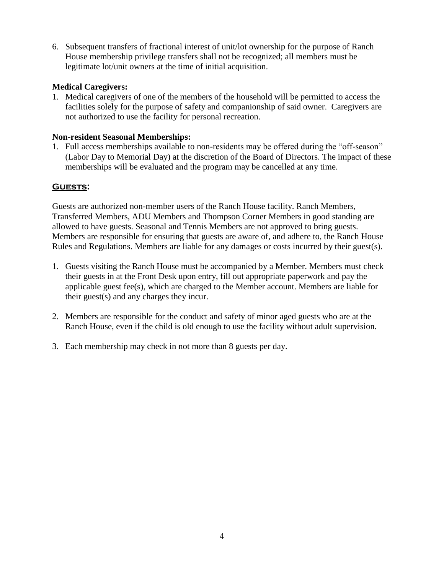6. Subsequent transfers of fractional interest of unit/lot ownership for the purpose of Ranch House membership privilege transfers shall not be recognized; all members must be legitimate lot/unit owners at the time of initial acquisition.

### **Medical Caregivers:**

1. Medical caregivers of one of the members of the household will be permitted to access the facilities solely for the purpose of safety and companionship of said owner. Caregivers are not authorized to use the facility for personal recreation.

### **Non-resident Seasonal Memberships:**

1. Full access memberships available to non-residents may be offered during the "off-season" (Labor Day to Memorial Day) at the discretion of the Board of Directors. The impact of these memberships will be evaluated and the program may be cancelled at any time.

## **Guests:**

Guests are authorized non-member users of the Ranch House facility. Ranch Members, Transferred Members, ADU Members and Thompson Corner Members in good standing are allowed to have guests. Seasonal and Tennis Members are not approved to bring guests. Members are responsible for ensuring that guests are aware of, and adhere to, the Ranch House Rules and Regulations. Members are liable for any damages or costs incurred by their guest(s).

- 1. Guests visiting the Ranch House must be accompanied by a Member. Members must check their guests in at the Front Desk upon entry, fill out appropriate paperwork and pay the applicable guest fee(s), which are charged to the Member account. Members are liable for their guest(s) and any charges they incur.
- 2. Members are responsible for the conduct and safety of minor aged guests who are at the Ranch House, even if the child is old enough to use the facility without adult supervision.
- 3. Each membership may check in not more than 8 guests per day.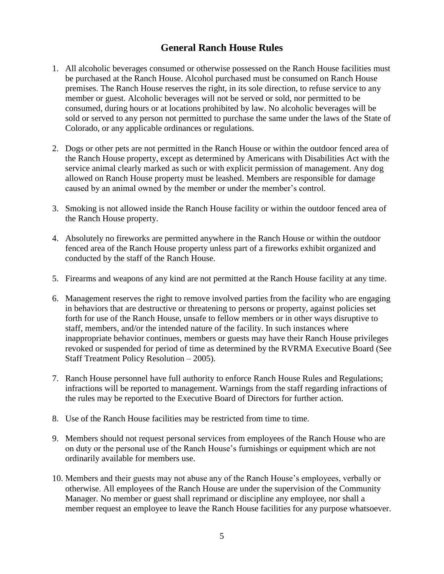# **General Ranch House Rules**

- 1. All alcoholic beverages consumed or otherwise possessed on the Ranch House facilities must be purchased at the Ranch House. Alcohol purchased must be consumed on Ranch House premises. The Ranch House reserves the right, in its sole direction, to refuse service to any member or guest. Alcoholic beverages will not be served or sold, nor permitted to be consumed, during hours or at locations prohibited by law. No alcoholic beverages will be sold or served to any person not permitted to purchase the same under the laws of the State of Colorado, or any applicable ordinances or regulations.
- 2. Dogs or other pets are not permitted in the Ranch House or within the outdoor fenced area of the Ranch House property, except as determined by Americans with Disabilities Act with the service animal clearly marked as such or with explicit permission of management. Any dog allowed on Ranch House property must be leashed. Members are responsible for damage caused by an animal owned by the member or under the member's control.
- 3. Smoking is not allowed inside the Ranch House facility or within the outdoor fenced area of the Ranch House property.
- 4. Absolutely no fireworks are permitted anywhere in the Ranch House or within the outdoor fenced area of the Ranch House property unless part of a fireworks exhibit organized and conducted by the staff of the Ranch House.
- 5. Firearms and weapons of any kind are not permitted at the Ranch House facility at any time.
- 6. Management reserves the right to remove involved parties from the facility who are engaging in behaviors that are destructive or threatening to persons or property, against policies set forth for use of the Ranch House, unsafe to fellow members or in other ways disruptive to staff, members, and/or the intended nature of the facility. In such instances where inappropriate behavior continues, members or guests may have their Ranch House privileges revoked or suspended for period of time as determined by the RVRMA Executive Board (See Staff Treatment Policy Resolution – 2005).
- 7. Ranch House personnel have full authority to enforce Ranch House Rules and Regulations; infractions will be reported to management. Warnings from the staff regarding infractions of the rules may be reported to the Executive Board of Directors for further action.
- 8. Use of the Ranch House facilities may be restricted from time to time.
- 9. Members should not request personal services from employees of the Ranch House who are on duty or the personal use of the Ranch House's furnishings or equipment which are not ordinarily available for members use.
- 10. Members and their guests may not abuse any of the Ranch House's employees, verbally or otherwise. All employees of the Ranch House are under the supervision of the Community Manager. No member or guest shall reprimand or discipline any employee, nor shall a member request an employee to leave the Ranch House facilities for any purpose whatsoever.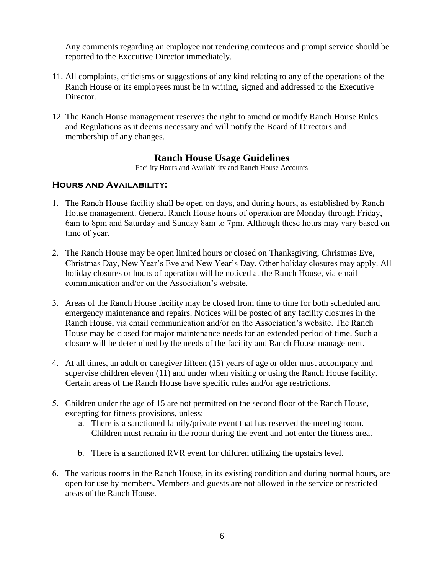Any comments regarding an employee not rendering courteous and prompt service should be reported to the Executive Director immediately.

- 11. All complaints, criticisms or suggestions of any kind relating to any of the operations of the Ranch House or its employees must be in writing, signed and addressed to the Executive Director.
- 12. The Ranch House management reserves the right to amend or modify Ranch House Rules and Regulations as it deems necessary and will notify the Board of Directors and membership of any changes.

# **Ranch House Usage Guidelines**

Facility Hours and Availability and Ranch House Accounts

#### **Hours and Availability:**

- 1. The Ranch House facility shall be open on days, and during hours, as established by Ranch House management. General Ranch House hours of operation are Monday through Friday, 6am to 8pm and Saturday and Sunday 8am to 7pm. Although these hours may vary based on time of year.
- 2. The Ranch House may be open limited hours or closed on Thanksgiving, Christmas Eve, Christmas Day, New Year's Eve and New Year's Day. Other holiday closures may apply. All holiday closures or hours of operation will be noticed at the Ranch House, via email communication and/or on the Association's website.
- 3. Areas of the Ranch House facility may be closed from time to time for both scheduled and emergency maintenance and repairs. Notices will be posted of any facility closures in the Ranch House, via email communication and/or on the Association's website. The Ranch House may be closed for major maintenance needs for an extended period of time. Such a closure will be determined by the needs of the facility and Ranch House management.
- 4. At all times, an adult or caregiver fifteen (15) years of age or older must accompany and supervise children eleven (11) and under when visiting or using the Ranch House facility. Certain areas of the Ranch House have specific rules and/or age restrictions.
- 5. Children under the age of 15 are not permitted on the second floor of the Ranch House, excepting for fitness provisions, unless:
	- a. There is a sanctioned family/private event that has reserved the meeting room. Children must remain in the room during the event and not enter the fitness area.
	- b. There is a sanctioned RVR event for children utilizing the upstairs level.
- 6. The various rooms in the Ranch House, in its existing condition and during normal hours, are open for use by members. Members and guests are not allowed in the service or restricted areas of the Ranch House.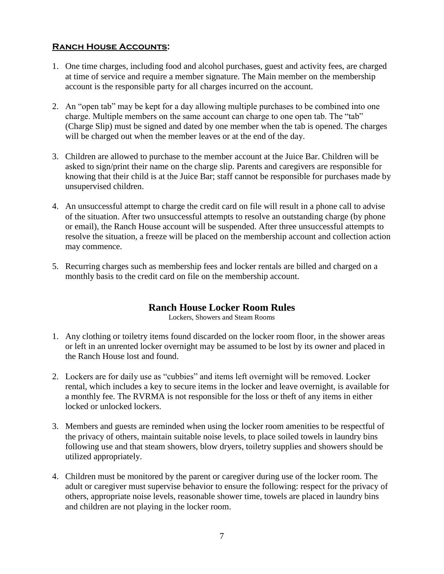### **Ranch House Accounts:**

- 1. One time charges, including food and alcohol purchases, guest and activity fees, are charged at time of service and require a member signature. The Main member on the membership account is the responsible party for all charges incurred on the account.
- 2. An "open tab" may be kept for a day allowing multiple purchases to be combined into one charge. Multiple members on the same account can charge to one open tab. The "tab" (Charge Slip) must be signed and dated by one member when the tab is opened. The charges will be charged out when the member leaves or at the end of the day.
- 3. Children are allowed to purchase to the member account at the Juice Bar. Children will be asked to sign/print their name on the charge slip. Parents and caregivers are responsible for knowing that their child is at the Juice Bar; staff cannot be responsible for purchases made by unsupervised children.
- 4. An unsuccessful attempt to charge the credit card on file will result in a phone call to advise of the situation. After two unsuccessful attempts to resolve an outstanding charge (by phone or email), the Ranch House account will be suspended. After three unsuccessful attempts to resolve the situation, a freeze will be placed on the membership account and collection action may commence.
- 5. Recurring charges such as membership fees and locker rentals are billed and charged on a monthly basis to the credit card on file on the membership account.

# **Ranch House Locker Room Rules**

Lockers, Showers and Steam Rooms

- 1. Any clothing or toiletry items found discarded on the locker room floor, in the shower areas or left in an unrented locker overnight may be assumed to be lost by its owner and placed in the Ranch House lost and found.
- 2. Lockers are for daily use as "cubbies" and items left overnight will be removed. Locker rental, which includes a key to secure items in the locker and leave overnight, is available for a monthly fee. The RVRMA is not responsible for the loss or theft of any items in either locked or unlocked lockers.
- 3. Members and guests are reminded when using the locker room amenities to be respectful of the privacy of others, maintain suitable noise levels, to place soiled towels in laundry bins following use and that steam showers, blow dryers, toiletry supplies and showers should be utilized appropriately.
- 4. Children must be monitored by the parent or caregiver during use of the locker room. The adult or caregiver must supervise behavior to ensure the following: respect for the privacy of others, appropriate noise levels, reasonable shower time, towels are placed in laundry bins and children are not playing in the locker room.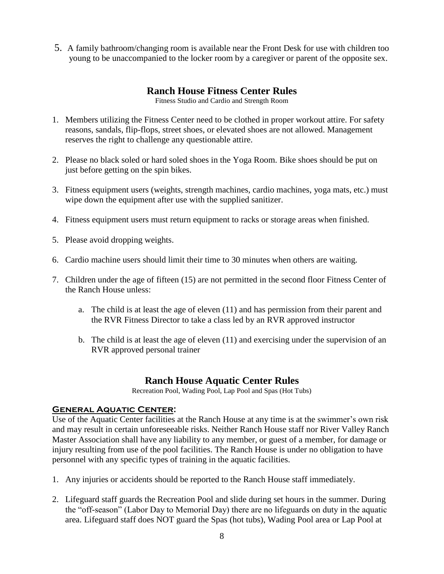5. A family bathroom/changing room is available near the Front Desk for use with children too young to be unaccompanied to the locker room by a caregiver or parent of the opposite sex.

# **Ranch House Fitness Center Rules**

Fitness Studio and Cardio and Strength Room

- 1. Members utilizing the Fitness Center need to be clothed in proper workout attire. For safety reasons, sandals, flip-flops, street shoes, or elevated shoes are not allowed. Management reserves the right to challenge any questionable attire.
- 2. Please no black soled or hard soled shoes in the Yoga Room. Bike shoes should be put on just before getting on the spin bikes.
- 3. Fitness equipment users (weights, strength machines, cardio machines, yoga mats, etc.) must wipe down the equipment after use with the supplied sanitizer.
- 4. Fitness equipment users must return equipment to racks or storage areas when finished.
- 5. Please avoid dropping weights.
- 6. Cardio machine users should limit their time to 30 minutes when others are waiting.
- 7. Children under the age of fifteen (15) are not permitted in the second floor Fitness Center of the Ranch House unless:
	- a. The child is at least the age of eleven (11) and has permission from their parent and the RVR Fitness Director to take a class led by an RVR approved instructor
	- b. The child is at least the age of eleven (11) and exercising under the supervision of an RVR approved personal trainer

# **Ranch House Aquatic Center Rules**

Recreation Pool, Wading Pool, Lap Pool and Spas (Hot Tubs)

## **General Aquatic Center:**

Use of the Aquatic Center facilities at the Ranch House at any time is at the swimmer's own risk and may result in certain unforeseeable risks. Neither Ranch House staff nor River Valley Ranch Master Association shall have any liability to any member, or guest of a member, for damage or injury resulting from use of the pool facilities. The Ranch House is under no obligation to have personnel with any specific types of training in the aquatic facilities.

- 1. Any injuries or accidents should be reported to the Ranch House staff immediately.
- 2. Lifeguard staff guards the Recreation Pool and slide during set hours in the summer. During the "off-season" (Labor Day to Memorial Day) there are no lifeguards on duty in the aquatic area. Lifeguard staff does NOT guard the Spas (hot tubs), Wading Pool area or Lap Pool at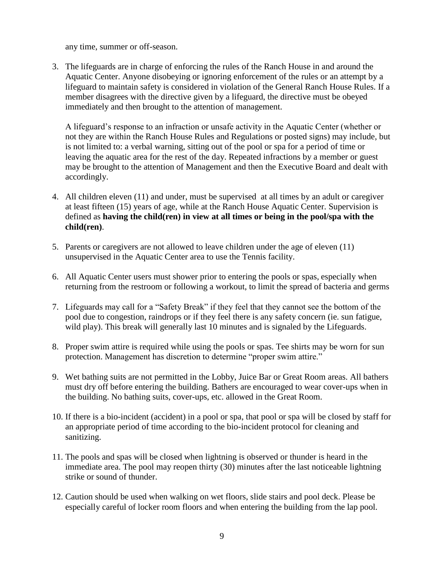any time, summer or off-season.

3. The lifeguards are in charge of enforcing the rules of the Ranch House in and around the Aquatic Center. Anyone disobeying or ignoring enforcement of the rules or an attempt by a lifeguard to maintain safety is considered in violation of the General Ranch House Rules. If a member disagrees with the directive given by a lifeguard, the directive must be obeyed immediately and then brought to the attention of management.

A lifeguard's response to an infraction or unsafe activity in the Aquatic Center (whether or not they are within the Ranch House Rules and Regulations or posted signs) may include, but is not limited to: a verbal warning, sitting out of the pool or spa for a period of time or leaving the aquatic area for the rest of the day. Repeated infractions by a member or guest may be brought to the attention of Management and then the Executive Board and dealt with accordingly.

- 4. All children eleven (11) and under, must be supervised at all times by an adult or caregiver at least fifteen (15) years of age, while at the Ranch House Aquatic Center. Supervision is defined as **having the child(ren) in view at all times or being in the pool/spa with the child(ren)**.
- 5. Parents or caregivers are not allowed to leave children under the age of eleven (11) unsupervised in the Aquatic Center area to use the Tennis facility.
- 6. All Aquatic Center users must shower prior to entering the pools or spas, especially when returning from the restroom or following a workout, to limit the spread of bacteria and germs
- 7. Lifeguards may call for a "Safety Break" if they feel that they cannot see the bottom of the pool due to congestion, raindrops or if they feel there is any safety concern (ie. sun fatigue, wild play). This break will generally last 10 minutes and is signaled by the Lifeguards.
- 8. Proper swim attire is required while using the pools or spas. Tee shirts may be worn for sun protection. Management has discretion to determine "proper swim attire."
- 9. Wet bathing suits are not permitted in the Lobby, Juice Bar or Great Room areas. All bathers must dry off before entering the building. Bathers are encouraged to wear cover-ups when in the building. No bathing suits, cover-ups, etc. allowed in the Great Room.
- 10. If there is a bio-incident (accident) in a pool or spa, that pool or spa will be closed by staff for an appropriate period of time according to the bio-incident protocol for cleaning and sanitizing.
- 11. The pools and spas will be closed when lightning is observed or thunder is heard in the immediate area. The pool may reopen thirty (30) minutes after the last noticeable lightning strike or sound of thunder.
- 12. Caution should be used when walking on wet floors, slide stairs and pool deck. Please be especially careful of locker room floors and when entering the building from the lap pool.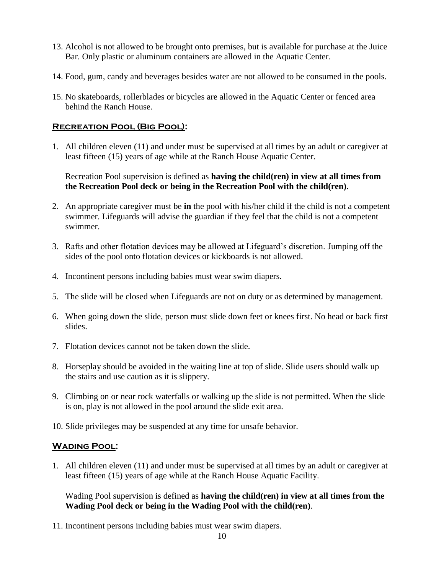- 13. Alcohol is not allowed to be brought onto premises, but is available for purchase at the Juice Bar. Only plastic or aluminum containers are allowed in the Aquatic Center.
- 14. Food, gum, candy and beverages besides water are not allowed to be consumed in the pools.
- 15. No skateboards, rollerblades or bicycles are allowed in the Aquatic Center or fenced area behind the Ranch House.

## **Recreation Pool (Big Pool):**

1. All children eleven (11) and under must be supervised at all times by an adult or caregiver at least fifteen (15) years of age while at the Ranch House Aquatic Center.

Recreation Pool supervision is defined as **having the child(ren) in view at all times from the Recreation Pool deck or being in the Recreation Pool with the child(ren)**.

- 2. An appropriate caregiver must be **in** the pool with his/her child if the child is not a competent swimmer. Lifeguards will advise the guardian if they feel that the child is not a competent swimmer.
- 3. Rafts and other flotation devices may be allowed at Lifeguard's discretion. Jumping off the sides of the pool onto flotation devices or kickboards is not allowed.
- 4. Incontinent persons including babies must wear swim diapers.
- 5. The slide will be closed when Lifeguards are not on duty or as determined by management.
- 6. When going down the slide, person must slide down feet or knees first. No head or back first slides.
- 7. Flotation devices cannot not be taken down the slide.
- 8. Horseplay should be avoided in the waiting line at top of slide. Slide users should walk up the stairs and use caution as it is slippery.
- 9. Climbing on or near rock waterfalls or walking up the slide is not permitted. When the slide is on, play is not allowed in the pool around the slide exit area.
- 10. Slide privileges may be suspended at any time for unsafe behavior.

## **Wading Pool:**

1. All children eleven (11) and under must be supervised at all times by an adult or caregiver at least fifteen (15) years of age while at the Ranch House Aquatic Facility.

Wading Pool supervision is defined as **having the child(ren) in view at all times from the Wading Pool deck or being in the Wading Pool with the child(ren)**.

11. Incontinent persons including babies must wear swim diapers.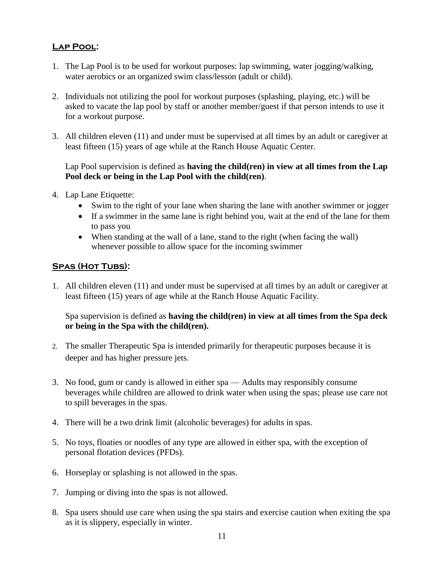# **Lap Pool:**

- 1. The Lap Pool is to be used for workout purposes: lap swimming, water jogging/walking, water aerobics or an organized swim class/lesson (adult or child).
- 2. Individuals not utilizing the pool for workout purposes (splashing, playing, etc.) will be asked to vacate the lap pool by staff or another member/guest if that person intends to use it for a workout purpose.
- 3. All children eleven (11) and under must be supervised at all times by an adult or caregiver at least fifteen (15) years of age while at the Ranch House Aquatic Center.

## Lap Pool supervision is defined as **having the child(ren) in view at all times from the Lap Pool deck or being in the Lap Pool with the child(ren)**.

- 4. Lap Lane Etiquette:
	- Swim to the right of your lane when sharing the lane with another swimmer or jogger
	- If a swimmer in the same lane is right behind you, wait at the end of the lane for them to pass you
	- When standing at the wall of a lane, stand to the right (when facing the wall) whenever possible to allow space for the incoming swimmer

### SPAS (HOT TUBS):

1. All children eleven (11) and under must be supervised at all times by an adult or caregiver at least fifteen (15) years of age while at the Ranch House Aquatic Facility.

### Spa supervision is defined as **having the child(ren) in view at all times from the Spa deck or being in the Spa with the child(ren).**

- 2. The smaller Therapeutic Spa is intended primarily for therapeutic purposes because it is deeper and has higher pressure jets.
- 3. No food, gum or candy is allowed in either spa Adults may responsibly consume beverages while children are allowed to drink water when using the spas; please use care not to spill beverages in the spas.
- 4. There will be a two drink limit (alcoholic beverages) for adults in spas.
- 5. No toys, floaties or noodles of any type are allowed in either spa, with the exception of personal flotation devices (PFDs).
- 6. Horseplay or splashing is not allowed in the spas.
- 7. Jumping or diving into the spas is not allowed.
- 8. Spa users should use care when using the spa stairs and exercise caution when exiting the spa as it is slippery, especially in winter.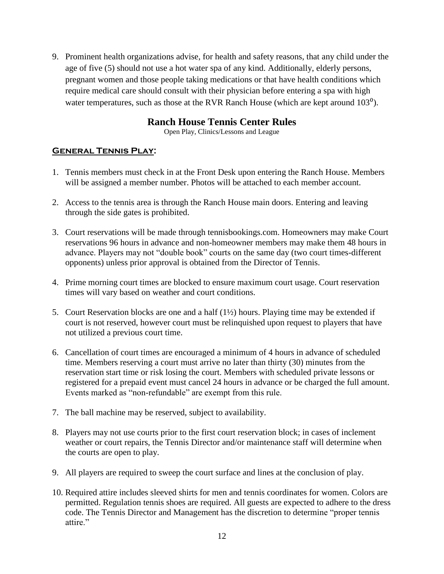9. Prominent health organizations advise, for health and safety reasons, that any child under the age of five (5) should not use a hot water spa of any kind. Additionally, elderly persons, pregnant women and those people taking medications or that have health conditions which require medical care should consult with their physician before entering a spa with high water temperatures, such as those at the RVR Ranch House (which are kept around  $103^{\circ}$ ).

# **Ranch House Tennis Center Rules**

Open Play, Clinics/Lessons and League

# **General Tennis Play:**

- 1. Tennis members must check in at the Front Desk upon entering the Ranch House. Members will be assigned a member number. Photos will be attached to each member account.
- 2. Access to the tennis area is through the Ranch House main doors. Entering and leaving through the side gates is prohibited.
- 3. Court reservations will be made through tennisbookings.com. Homeowners may make Court reservations 96 hours in advance and non-homeowner members may make them 48 hours in advance. Players may not "double book" courts on the same day (two court times-different opponents) unless prior approval is obtained from the Director of Tennis.
- 4. Prime morning court times are blocked to ensure maximum court usage. Court reservation times will vary based on weather and court conditions.
- 5. Court Reservation blocks are one and a half (1½) hours. Playing time may be extended if court is not reserved, however court must be relinquished upon request to players that have not utilized a previous court time.
- 6. Cancellation of court times are encouraged a minimum of 4 hours in advance of scheduled time. Members reserving a court must arrive no later than thirty (30) minutes from the reservation start time or risk losing the court. Members with scheduled private lessons or registered for a prepaid event must cancel 24 hours in advance or be charged the full amount. Events marked as "non-refundable" are exempt from this rule.
- 7. The ball machine may be reserved, subject to availability.
- 8. Players may not use courts prior to the first court reservation block; in cases of inclement weather or court repairs, the Tennis Director and/or maintenance staff will determine when the courts are open to play.
- 9. All players are required to sweep the court surface and lines at the conclusion of play.
- 10. Required attire includes sleeved shirts for men and tennis coordinates for women. Colors are permitted. Regulation tennis shoes are required. All guests are expected to adhere to the dress code. The Tennis Director and Management has the discretion to determine "proper tennis attire."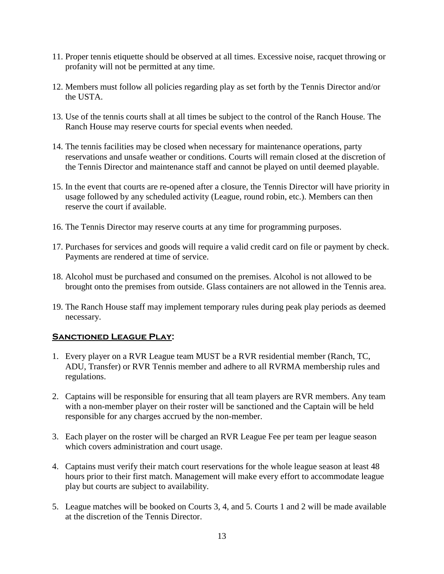- 11. Proper tennis etiquette should be observed at all times. Excessive noise, racquet throwing or profanity will not be permitted at any time.
- 12. Members must follow all policies regarding play as set forth by the Tennis Director and/or the USTA.
- 13. Use of the tennis courts shall at all times be subject to the control of the Ranch House. The Ranch House may reserve courts for special events when needed.
- 14. The tennis facilities may be closed when necessary for maintenance operations, party reservations and unsafe weather or conditions. Courts will remain closed at the discretion of the Tennis Director and maintenance staff and cannot be played on until deemed playable.
- 15. In the event that courts are re-opened after a closure, the Tennis Director will have priority in usage followed by any scheduled activity (League, round robin, etc.). Members can then reserve the court if available.
- 16. The Tennis Director may reserve courts at any time for programming purposes.
- 17. Purchases for services and goods will require a valid credit card on file or payment by check. Payments are rendered at time of service.
- 18. Alcohol must be purchased and consumed on the premises. Alcohol is not allowed to be brought onto the premises from outside. Glass containers are not allowed in the Tennis area.
- 19. The Ranch House staff may implement temporary rules during peak play periods as deemed necessary.

# **Sanctioned League Play:**

- 1. Every player on a RVR League team MUST be a RVR residential member (Ranch, TC, ADU, Transfer) or RVR Tennis member and adhere to all RVRMA membership rules and regulations.
- 2. Captains will be responsible for ensuring that all team players are RVR members. Any team with a non-member player on their roster will be sanctioned and the Captain will be held responsible for any charges accrued by the non-member.
- 3. Each player on the roster will be charged an RVR League Fee per team per league season which covers administration and court usage.
- 4. Captains must verify their match court reservations for the whole league season at least 48 hours prior to their first match. Management will make every effort to accommodate league play but courts are subject to availability.
- 5. League matches will be booked on Courts 3, 4, and 5. Courts 1 and 2 will be made available at the discretion of the Tennis Director.